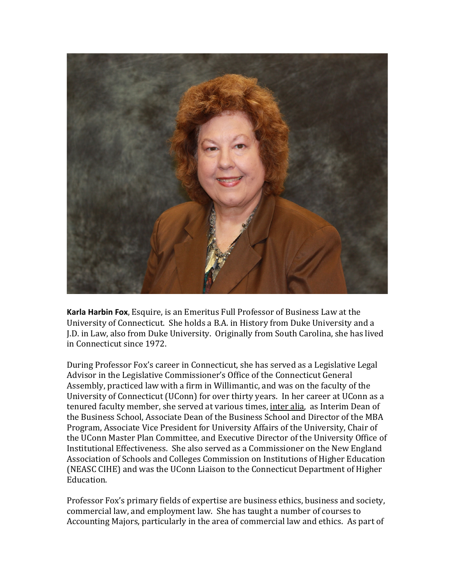

**Karla Harbin Fox**, Esquire, is an Emeritus Full Professor of Business Law at the University of Connecticut. She holds a B.A. in History from Duke University and a J.D. in Law, also from Duke University. Originally from South Carolina, she has lived in Connecticut since 1972.

During Professor Fox's career in Connecticut, she has served as a Legislative Legal Advisor in the Legislative Commissioner's Office of the Connecticut General Assembly, practiced law with a firm in Willimantic, and was on the faculty of the University of Connecticut (UConn) for over thirty years. In her career at UConn as a tenured faculty member, she served at various times, *inter alia*, as Interim Dean of the Business School, Associate Dean of the Business School and Director of the MBA Program, Associate Vice President for University Affairs of the University, Chair of the UConn Master Plan Committee, and Executive Director of the University Office of Institutional Effectiveness. She also served as a Commissioner on the New England Association of Schools and Colleges Commission on Institutions of Higher Education (NEASC CIHE) and was the UConn Liaison to the Connecticut Department of Higher Education.

Professor Fox's primary fields of expertise are business ethics, business and society, commercial law, and employment law. She has taught a number of courses to Accounting Majors, particularly in the area of commercial law and ethics. As part of